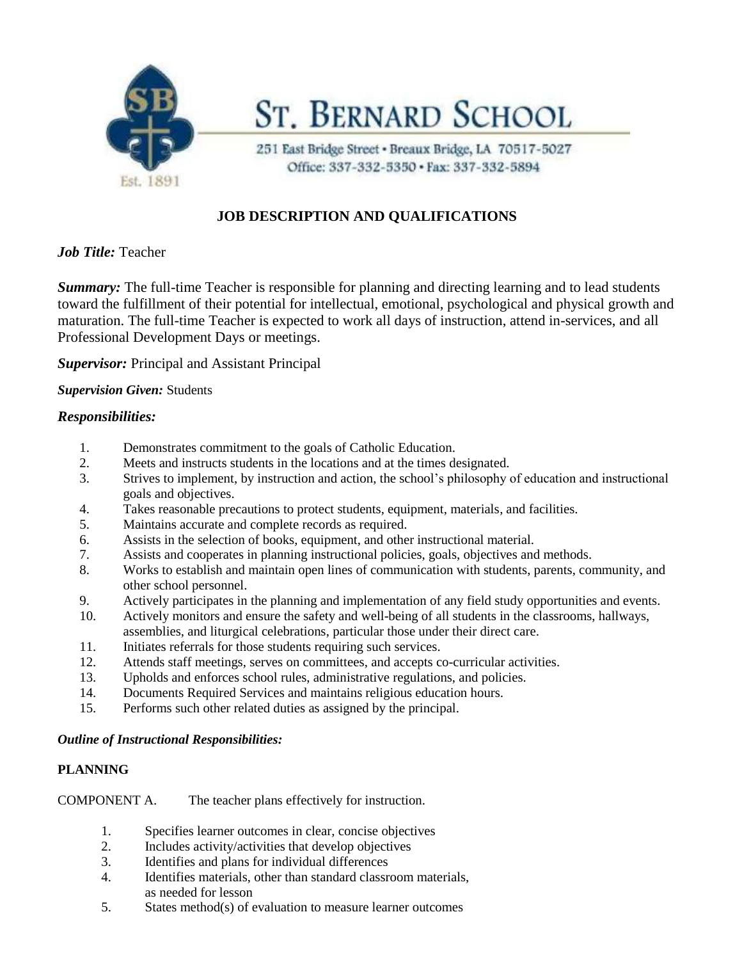

# **JOB DESCRIPTION AND QUALIFICATIONS**

## *Job Title:* Teacher

*Summary:* The full-time Teacher is responsible for planning and directing learning and to lead students toward the fulfillment of their potential for intellectual, emotional, psychological and physical growth and maturation. The full-time Teacher is expected to work all days of instruction, attend in-services, and all Professional Development Days or meetings.

*Supervisor:* Principal and Assistant Principal

*Supervision Given:* Students

## *Responsibilities:*

- 1. Demonstrates commitment to the goals of Catholic Education.
- 2. Meets and instructs students in the locations and at the times designated.
- 3. Strives to implement, by instruction and action, the school's philosophy of education and instructional goals and objectives.
- 4. Takes reasonable precautions to protect students, equipment, materials, and facilities.
- 5. Maintains accurate and complete records as required.
- 6. Assists in the selection of books, equipment, and other instructional material.
- 7. Assists and cooperates in planning instructional policies, goals, objectives and methods.
- 8. Works to establish and maintain open lines of communication with students, parents, community, and other school personnel.
- 9. Actively participates in the planning and implementation of any field study opportunities and events.
- 10. Actively monitors and ensure the safety and well-being of all students in the classrooms, hallways, assemblies, and liturgical celebrations, particular those under their direct care.
- 11. Initiates referrals for those students requiring such services.
- 12. Attends staff meetings, serves on committees, and accepts co-curricular activities.
- 13. Upholds and enforces school rules, administrative regulations, and policies.
- 14. Documents Required Services and maintains religious education hours.
- 15. Performs such other related duties as assigned by the principal.

### *Outline of Instructional Responsibilities:*

### **PLANNING**

COMPONENT A. The teacher plans effectively for instruction.

- 1. Specifies learner outcomes in clear, concise objectives
- 2. Includes activity/activities that develop objectives
- 3. Identifies and plans for individual differences
- 4. Identifies materials, other than standard classroom materials, as needed for lesson
- 5. States method(s) of evaluation to measure learner outcomes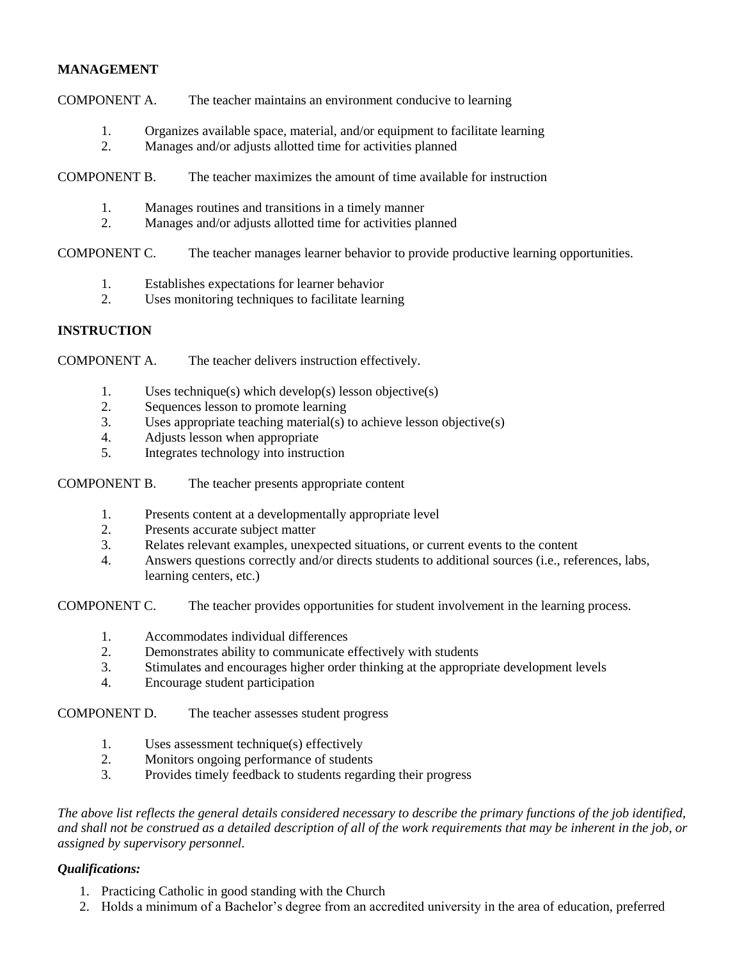#### **MANAGEMENT**

COMPONENT A. The teacher maintains an environment conducive to learning

- 1. Organizes available space, material, and/or equipment to facilitate learning
- 2. Manages and/or adjusts allotted time for activities planned

#### COMPONENT B. The teacher maximizes the amount of time available for instruction

- 1. Manages routines and transitions in a timely manner
- 2. Manages and/or adjusts allotted time for activities planned

COMPONENT C. The teacher manages learner behavior to provide productive learning opportunities.

- 1. Establishes expectations for learner behavior
- 2. Uses monitoring techniques to facilitate learning

### **INSTRUCTION**

COMPONENT A. The teacher delivers instruction effectively.

- 1. Uses technique(s) which develop(s) lesson objective(s)
- 2. Sequences lesson to promote learning
- 3. Uses appropriate teaching material(s) to achieve lesson objective(s)
- 4. Adjusts lesson when appropriate
- 5. Integrates technology into instruction

COMPONENT B. The teacher presents appropriate content

- 1. Presents content at a developmentally appropriate level
- 2. Presents accurate subject matter
- 3. Relates relevant examples, unexpected situations, or current events to the content
- 4. Answers questions correctly and/or directs students to additional sources (i.e., references, labs, learning centers, etc.)

COMPONENT C. The teacher provides opportunities for student involvement in the learning process.

- 1. Accommodates individual differences
- 2. Demonstrates ability to communicate effectively with students
- 3. Stimulates and encourages higher order thinking at the appropriate development levels
- 4. Encourage student participation

COMPONENT D. The teacher assesses student progress

- 1. Uses assessment technique(s) effectively
- 2. Monitors ongoing performance of students
- 3. Provides timely feedback to students regarding their progress

*The above list reflects the general details considered necessary to describe the primary functions of the job identified, and shall not be construed as a detailed description of all of the work requirements that may be inherent in the job, or assigned by supervisory personnel.*

### *Qualifications:*

- 1. Practicing Catholic in good standing with the Church
- 2. Holds a minimum of a Bachelor's degree from an accredited university in the area of education, preferred